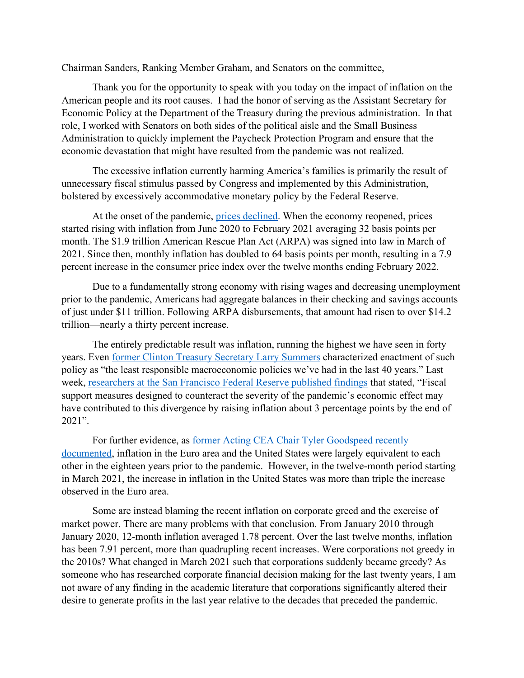Chairman Sanders, Ranking Member Graham, and Senators on the committee,

Thank you for the opportunity to speak with you today on the impact of inflation on the American people and its root causes. I had the honor of serving as the Assistant Secretary for Economic Policy at the Department of the Treasury during the previous administration. In that role, I worked with Senators on both sides of the political aisle and the Small Business Administration to quickly implement the Paycheck Protection Program and ensure that the economic devastation that might have resulted from the pandemic was not realized.

The excessive inflation currently harming America's families is primarily the result of unnecessary fiscal stimulus passed by Congress and implemented by this Administration, bolstered by excessively accommodative monetary policy by the Federal Reserve.

At the onset of the pandemic, prices [declined.](https://fred.stlouisfed.org/series/CPIAUCSL) When the economy reopened, prices started rising with inflation from June 2020 to February 2021 averaging 32 basis points per month. The \$1.9 trillion American Rescue Plan Act (ARPA) was signed into law in March of 2021. Since then, monthly inflation has doubled to 64 basis points per month, resulting in a 7.9 percent increase in the consumer price index over the twelve months ending February 2022.

Due to a fundamentally strong economy with rising wages and decreasing unemployment prior to the pandemic, Americans had aggregate balances in their checking and savings accounts of just under \$11 trillion. Following ARPA disbursements, that amount had risen to over \$14.2 trillion—nearly a thirty percent increase.

The entirely predictable result was inflation, running the highest we have seen in forty years. Even [former Clinton Treasury Secretary Larry Summers](https://thehill.com/policy/finance/544188-larry-summers-blasts-least-responsible-economic-policy-in-40-years/) characterized enactment of such policy as "the least responsible macroeconomic policies we've had in the last 40 years." Last week, [researchers at the San Francisco Federal Reserve published findings](https://www.frbsf.org/economic-research/publications/economic-letter/2022/march/why-is-us-inflation-higher-than-in-other-countries/) that stated, "Fiscal support measures designed to counteract the severity of the pandemic's economic effect may have contributed to this divergence by raising inflation about 3 percentage points by the end of 2021".

For further evidence, as [former Acting CEA Chair Tyler Goodspeed recently](https://financialservices.house.gov/uploadedfiles/hhrg-117-ba00-wstate-goodspeedt-20220308.pdf)  [documented,](https://financialservices.house.gov/uploadedfiles/hhrg-117-ba00-wstate-goodspeedt-20220308.pdf) inflation in the Euro area and the United States were largely equivalent to each other in the eighteen years prior to the pandemic. However, in the twelve-month period starting in March 2021, the increase in inflation in the United States was more than triple the increase observed in the Euro area.

Some are instead blaming the recent inflation on corporate greed and the exercise of market power. There are many problems with that conclusion. From January 2010 through January 2020, 12-month inflation averaged 1.78 percent. Over the last twelve months, inflation has been 7.91 percent, more than quadrupling recent increases. Were corporations not greedy in the 2010s? What changed in March 2021 such that corporations suddenly became greedy? As someone who has researched corporate financial decision making for the last twenty years, I am not aware of any finding in the academic literature that corporations significantly altered their desire to generate profits in the last year relative to the decades that preceded the pandemic.